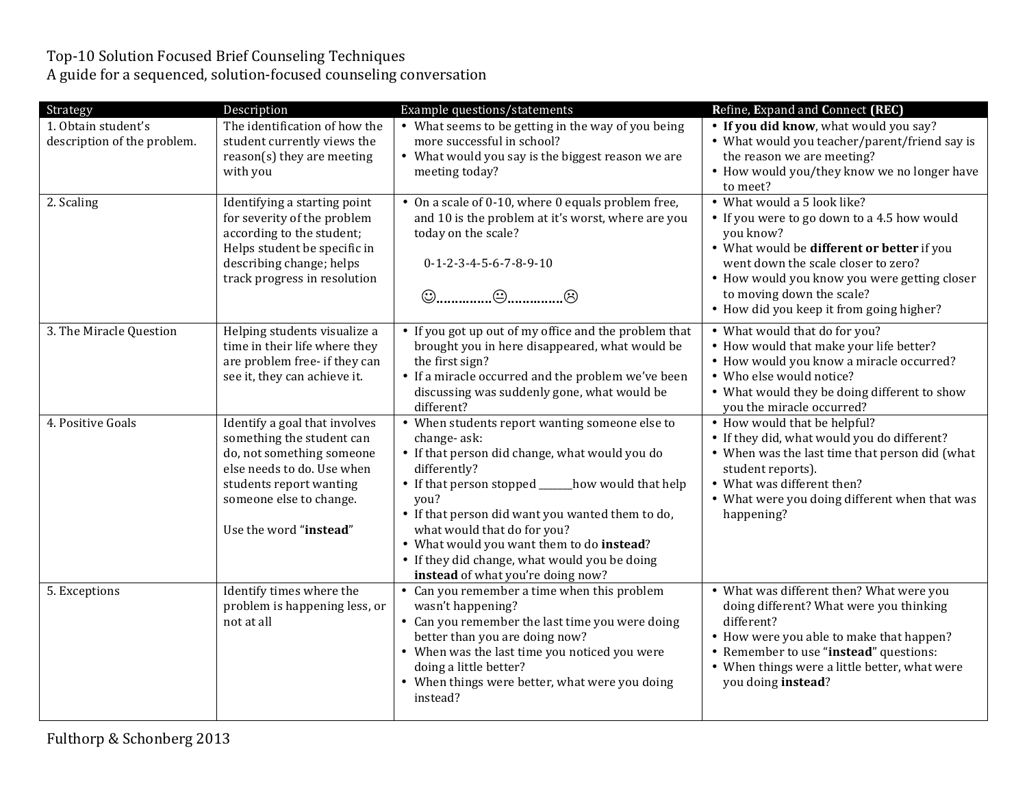## Top-10 Solution Focused Brief Counseling Techniques

A guide for a sequenced, solution-focused counseling conversation

| Strategy                                           | Description                                                                                                                                                                                           | Example questions/statements                                                                                                                                                                                                                                                                                                                                                                                            | Refine, Expand and Connect (REC)                                                                                                                                                                                                                                                                      |
|----------------------------------------------------|-------------------------------------------------------------------------------------------------------------------------------------------------------------------------------------------------------|-------------------------------------------------------------------------------------------------------------------------------------------------------------------------------------------------------------------------------------------------------------------------------------------------------------------------------------------------------------------------------------------------------------------------|-------------------------------------------------------------------------------------------------------------------------------------------------------------------------------------------------------------------------------------------------------------------------------------------------------|
| 1. Obtain student's<br>description of the problem. | The identification of how the<br>student currently views the<br>reason(s) they are meeting<br>with you                                                                                                | • What seems to be getting in the way of you being<br>more successful in school?<br>• What would you say is the biggest reason we are<br>meeting today?                                                                                                                                                                                                                                                                 | • If you did know, what would you say?<br>• What would you teacher/parent/friend say is<br>the reason we are meeting?<br>• How would you/they know we no longer have<br>to meet?                                                                                                                      |
| 2. Scaling                                         | Identifying a starting point<br>for severity of the problem<br>according to the student;<br>Helps student be specific in<br>describing change; helps<br>track progress in resolution                  | • On a scale of 0-10, where 0 equals problem free,<br>and 10 is the problem at it's worst, where are you<br>today on the scale?<br>$0-1-2-3-4-5-6-7-8-9-10$                                                                                                                                                                                                                                                             | • What would a 5 look like?<br>• If you were to go down to a 4.5 how would<br>you know?<br>• What would be different or better if you<br>went down the scale closer to zero?<br>• How would you know you were getting closer<br>to moving down the scale?<br>• How did you keep it from going higher? |
| 3. The Miracle Question                            | Helping students visualize a<br>time in their life where they<br>are problem free- if they can<br>see it, they can achieve it.                                                                        | • If you got up out of my office and the problem that<br>brought you in here disappeared, what would be<br>the first sign?<br>• If a miracle occurred and the problem we've been<br>discussing was suddenly gone, what would be<br>different?                                                                                                                                                                           | • What would that do for you?<br>• How would that make your life better?<br>• How would you know a miracle occurred?<br>• Who else would notice?<br>• What would they be doing different to show<br>you the miracle occurred?                                                                         |
| 4. Positive Goals                                  | Identify a goal that involves<br>something the student can<br>do, not something someone<br>else needs to do. Use when<br>students report wanting<br>someone else to change.<br>Use the word "instead" | • When students report wanting someone else to<br>change-ask:<br>• If that person did change, what would you do<br>differently?<br>• If that person stopped _____<br>_how would that help<br>you?<br>• If that person did want you wanted them to do,<br>what would that do for you?<br>• What would you want them to do instead?<br>• If they did change, what would you be doing<br>instead of what you're doing now? | • How would that be helpful?<br>• If they did, what would you do different?<br>• When was the last time that person did (what<br>student reports).<br>• What was different then?<br>• What were you doing different when that was<br>happening?                                                       |
| 5. Exceptions                                      | Identify times where the<br>problem is happening less, or<br>not at all                                                                                                                               | • Can you remember a time when this problem<br>wasn't happening?<br>• Can you remember the last time you were doing<br>better than you are doing now?<br>• When was the last time you noticed you were<br>doing a little better?<br>• When things were better, what were you doing<br>instead?                                                                                                                          | • What was different then? What were you<br>doing different? What were you thinking<br>different?<br>• How were you able to make that happen?<br>• Remember to use "instead" questions:<br>• When things were a little better, what were<br>you doing instead?                                        |